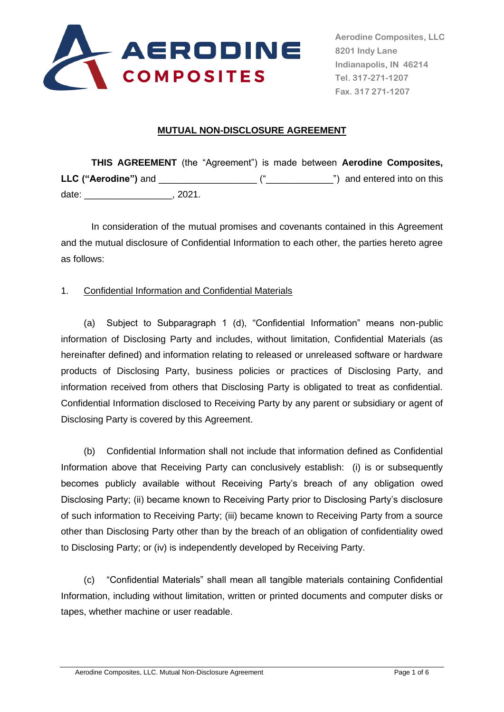

**Aerodine Composites, LLC 8201 Indy Lane Indianapolis, IN 46214 Tel. 317-271-1207 Fax. 317 271-1207**

#### **MUTUAL NON-DISCLOSURE AGREEMENT**

**THIS AGREEMENT** (the "Agreement") is made between **Aerodine Composites, LLC ("Aerodine")** and \_\_\_\_\_\_\_\_\_\_\_\_\_\_\_\_\_\_\_ ("\_\_\_\_\_\_\_\_\_\_\_\_\_") and entered into on this date: \_\_\_\_\_\_\_\_\_\_\_\_\_\_\_\_\_, 2021.

In consideration of the mutual promises and covenants contained in this Agreement and the mutual disclosure of Confidential Information to each other, the parties hereto agree as follows:

### 1. Confidential Information and Confidential Materials

(a) Subject to Subparagraph 1 (d), "Confidential Information" means non-public information of Disclosing Party and includes, without limitation, Confidential Materials (as hereinafter defined) and information relating to released or unreleased software or hardware products of Disclosing Party, business policies or practices of Disclosing Party, and information received from others that Disclosing Party is obligated to treat as confidential. Confidential Information disclosed to Receiving Party by any parent or subsidiary or agent of Disclosing Party is covered by this Agreement.

(b) Confidential Information shall not include that information defined as Confidential Information above that Receiving Party can conclusively establish: (i) is or subsequently becomes publicly available without Receiving Party's breach of any obligation owed Disclosing Party; (ii) became known to Receiving Party prior to Disclosing Party's disclosure of such information to Receiving Party; (iii) became known to Receiving Party from a source other than Disclosing Party other than by the breach of an obligation of confidentiality owed to Disclosing Party; or (iv) is independently developed by Receiving Party.

(c) "Confidential Materials" shall mean all tangible materials containing Confidential Information, including without limitation, written or printed documents and computer disks or tapes, whether machine or user readable.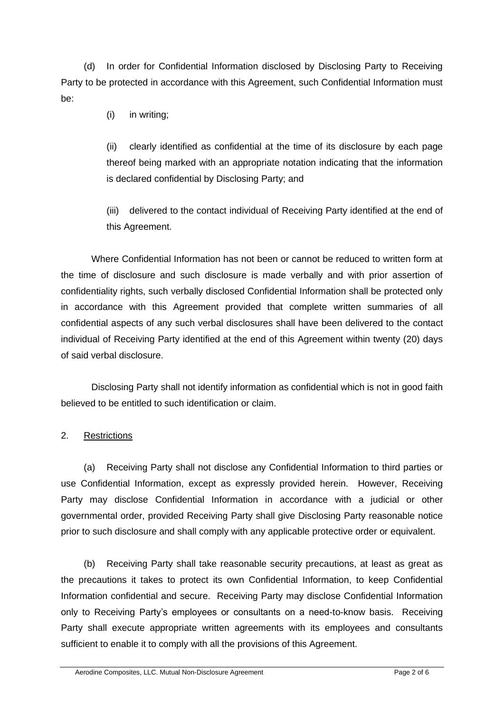(d) In order for Confidential Information disclosed by Disclosing Party to Receiving Party to be protected in accordance with this Agreement, such Confidential Information must be:

(i) in writing;

(ii) clearly identified as confidential at the time of its disclosure by each page thereof being marked with an appropriate notation indicating that the information is declared confidential by Disclosing Party; and

(iii) delivered to the contact individual of Receiving Party identified at the end of this Agreement.

Where Confidential Information has not been or cannot be reduced to written form at the time of disclosure and such disclosure is made verbally and with prior assertion of confidentiality rights, such verbally disclosed Confidential Information shall be protected only in accordance with this Agreement provided that complete written summaries of all confidential aspects of any such verbal disclosures shall have been delivered to the contact individual of Receiving Party identified at the end of this Agreement within twenty (20) days of said verbal disclosure.

Disclosing Party shall not identify information as confidential which is not in good faith believed to be entitled to such identification or claim.

# 2. Restrictions

(a) Receiving Party shall not disclose any Confidential Information to third parties or use Confidential Information, except as expressly provided herein. However, Receiving Party may disclose Confidential Information in accordance with a judicial or other governmental order, provided Receiving Party shall give Disclosing Party reasonable notice prior to such disclosure and shall comply with any applicable protective order or equivalent.

(b) Receiving Party shall take reasonable security precautions, at least as great as the precautions it takes to protect its own Confidential Information, to keep Confidential Information confidential and secure. Receiving Party may disclose Confidential Information only to Receiving Party's employees or consultants on a need-to-know basis. Receiving Party shall execute appropriate written agreements with its employees and consultants sufficient to enable it to comply with all the provisions of this Agreement.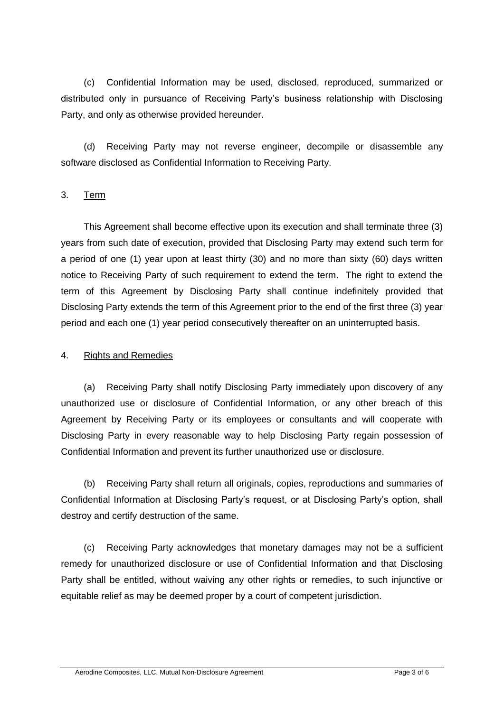(c) Confidential Information may be used, disclosed, reproduced, summarized or distributed only in pursuance of Receiving Party's business relationship with Disclosing Party, and only as otherwise provided hereunder.

(d) Receiving Party may not reverse engineer, decompile or disassemble any software disclosed as Confidential Information to Receiving Party.

### 3. Term

This Agreement shall become effective upon its execution and shall terminate three (3) years from such date of execution, provided that Disclosing Party may extend such term for a period of one (1) year upon at least thirty (30) and no more than sixty (60) days written notice to Receiving Party of such requirement to extend the term. The right to extend the term of this Agreement by Disclosing Party shall continue indefinitely provided that Disclosing Party extends the term of this Agreement prior to the end of the first three (3) year period and each one (1) year period consecutively thereafter on an uninterrupted basis.

### 4. Rights and Remedies

(a) Receiving Party shall notify Disclosing Party immediately upon discovery of any unauthorized use or disclosure of Confidential Information, or any other breach of this Agreement by Receiving Party or its employees or consultants and will cooperate with Disclosing Party in every reasonable way to help Disclosing Party regain possession of Confidential Information and prevent its further unauthorized use or disclosure.

(b) Receiving Party shall return all originals, copies, reproductions and summaries of Confidential Information at Disclosing Party's request, or at Disclosing Party's option, shall destroy and certify destruction of the same.

(c) Receiving Party acknowledges that monetary damages may not be a sufficient remedy for unauthorized disclosure or use of Confidential Information and that Disclosing Party shall be entitled, without waiving any other rights or remedies, to such injunctive or equitable relief as may be deemed proper by a court of competent jurisdiction.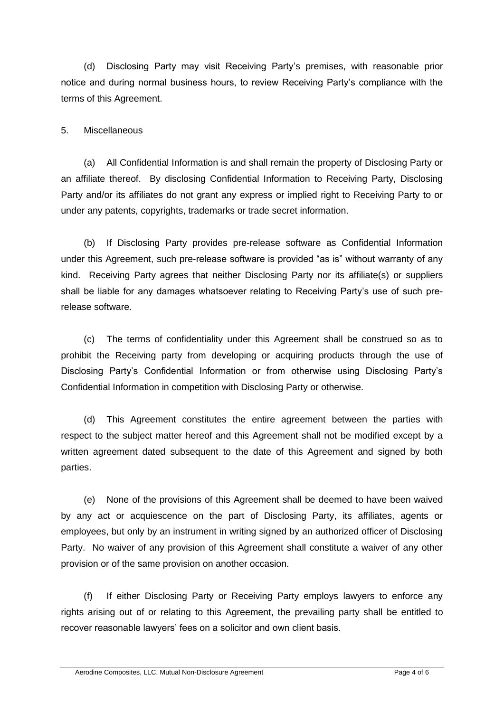(d) Disclosing Party may visit Receiving Party's premises, with reasonable prior notice and during normal business hours, to review Receiving Party's compliance with the terms of this Agreement.

### 5. Miscellaneous

(a) All Confidential Information is and shall remain the property of Disclosing Party or an affiliate thereof. By disclosing Confidential Information to Receiving Party, Disclosing Party and/or its affiliates do not grant any express or implied right to Receiving Party to or under any patents, copyrights, trademarks or trade secret information.

(b) If Disclosing Party provides pre-release software as Confidential Information under this Agreement, such pre-release software is provided "as is" without warranty of any kind. Receiving Party agrees that neither Disclosing Party nor its affiliate(s) or suppliers shall be liable for any damages whatsoever relating to Receiving Party's use of such prerelease software.

(c) The terms of confidentiality under this Agreement shall be construed so as to prohibit the Receiving party from developing or acquiring products through the use of Disclosing Party's Confidential Information or from otherwise using Disclosing Party's Confidential Information in competition with Disclosing Party or otherwise.

(d) This Agreement constitutes the entire agreement between the parties with respect to the subject matter hereof and this Agreement shall not be modified except by a written agreement dated subsequent to the date of this Agreement and signed by both parties.

(e) None of the provisions of this Agreement shall be deemed to have been waived by any act or acquiescence on the part of Disclosing Party, its affiliates, agents or employees, but only by an instrument in writing signed by an authorized officer of Disclosing Party. No waiver of any provision of this Agreement shall constitute a waiver of any other provision or of the same provision on another occasion.

(f) If either Disclosing Party or Receiving Party employs lawyers to enforce any rights arising out of or relating to this Agreement, the prevailing party shall be entitled to recover reasonable lawyers' fees on a solicitor and own client basis.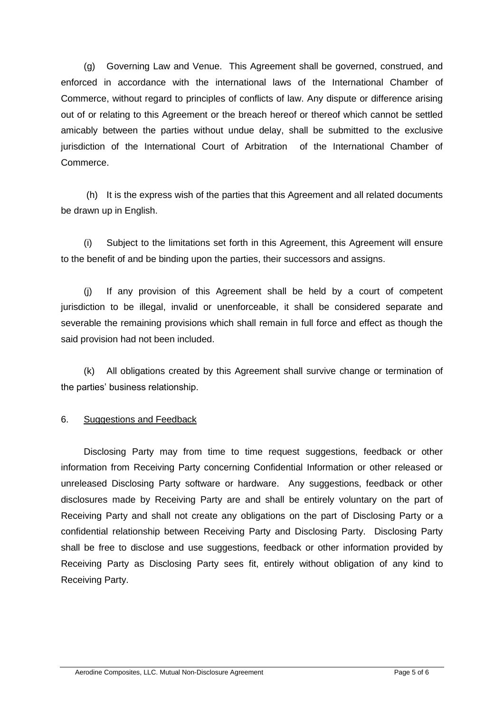(g) Governing Law and Venue. This Agreement shall be governed, construed, and enforced in accordance with the international laws of the International Chamber of Commerce, without regard to principles of conflicts of law. Any dispute or difference arising out of or relating to this Agreement or the breach hereof or thereof which cannot be settled amicably between the parties without undue delay, shall be submitted to the exclusive jurisdiction of the International Court of Arbitration of the International Chamber of Commerce.

(h) It is the express wish of the parties that this Agreement and all related documents be drawn up in English.

(i) Subject to the limitations set forth in this Agreement, this Agreement will ensure to the benefit of and be binding upon the parties, their successors and assigns.

(j) If any provision of this Agreement shall be held by a court of competent jurisdiction to be illegal, invalid or unenforceable, it shall be considered separate and severable the remaining provisions which shall remain in full force and effect as though the said provision had not been included.

(k) All obligations created by this Agreement shall survive change or termination of the parties' business relationship.

# 6. Suggestions and Feedback

Disclosing Party may from time to time request suggestions, feedback or other information from Receiving Party concerning Confidential Information or other released or unreleased Disclosing Party software or hardware. Any suggestions, feedback or other disclosures made by Receiving Party are and shall be entirely voluntary on the part of Receiving Party and shall not create any obligations on the part of Disclosing Party or a confidential relationship between Receiving Party and Disclosing Party. Disclosing Party shall be free to disclose and use suggestions, feedback or other information provided by Receiving Party as Disclosing Party sees fit, entirely without obligation of any kind to Receiving Party.